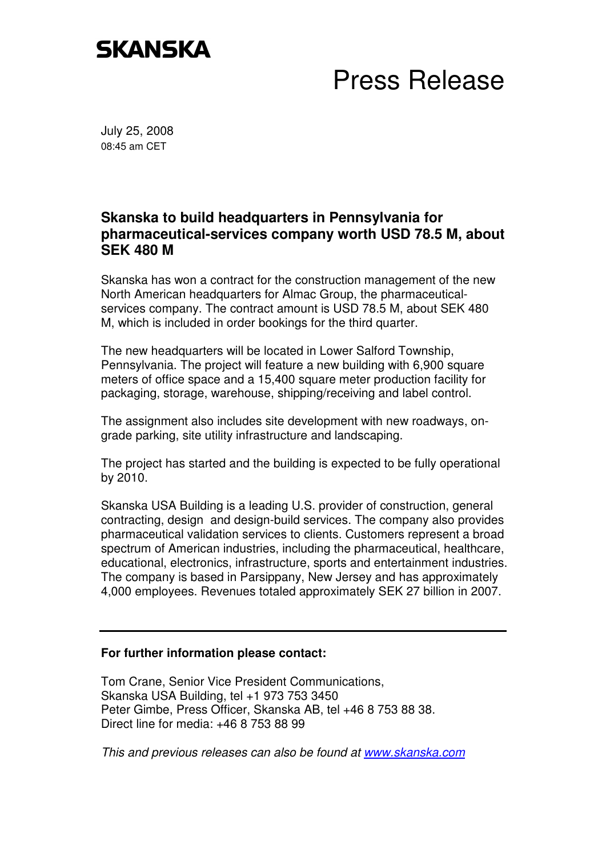## **SKANSKA**

## Press Release

July 25, 2008 08:45 am CET

## **Skanska to build headquarters in Pennsylvania for pharmaceutical-services company worth USD 78.5 M, about SEK 480 M**

Skanska has won a contract for the construction management of the new North American headquarters for Almac Group, the pharmaceuticalservices company. The contract amount is USD 78.5 M, about SEK 480 M, which is included in order bookings for the third quarter.

The new headquarters will be located in Lower Salford Township, Pennsylvania. The project will feature a new building with 6,900 square meters of office space and a 15,400 square meter production facility for packaging, storage, warehouse, shipping/receiving and label control.

The assignment also includes site development with new roadways, ongrade parking, site utility infrastructure and landscaping.

The project has started and the building is expected to be fully operational by 2010.

Skanska USA Building is a leading U.S. provider of construction, general contracting, design and design-build services. The company also provides pharmaceutical validation services to clients. Customers represent a broad spectrum of American industries, including the pharmaceutical, healthcare, educational, electronics, infrastructure, sports and entertainment industries. The company is based in Parsippany, New Jersey and has approximately 4,000 employees. Revenues totaled approximately SEK 27 billion in 2007.

## **For further information please contact:**

Tom Crane, Senior Vice President Communications, Skanska USA Building, tel +1 973 753 3450 Peter Gimbe, Press Officer, Skanska AB, tel +46 8 753 88 38. Direct line for media: +46 8 753 88 99

This and previous releases can also be found at www.skanska.com